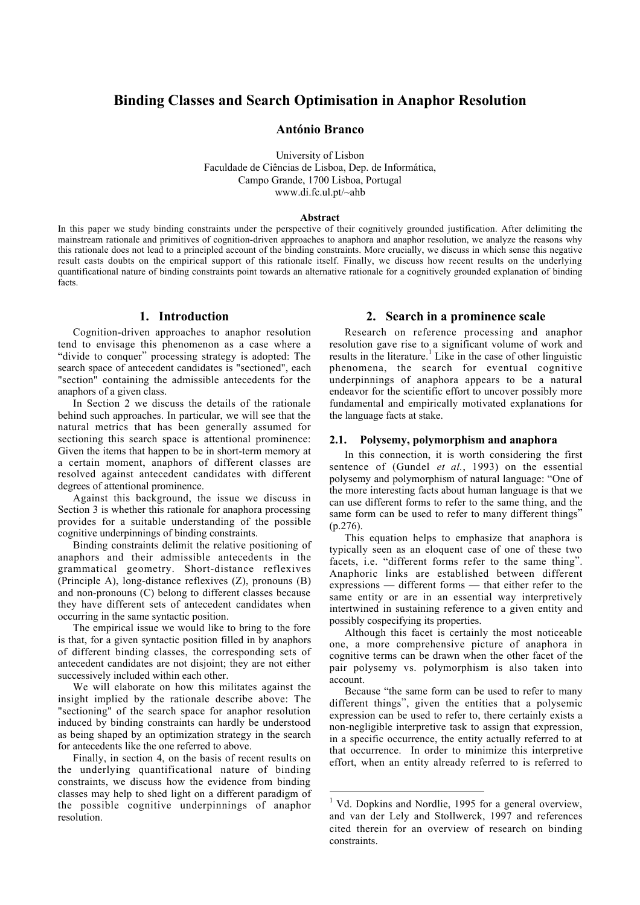# **Binding Classes and Search Optimisation in Anaphor Resolution**

## **António Branco**

University of Lisbon Faculdade de Ciências de Lisboa, Dep. de Informática, Campo Grande, 1700 Lisboa, Portugal www.di.fc.ul.pt/~ahb

#### **Abstract**

In this paper we study binding constraints under the perspective of their cognitively grounded justification. After delimiting the mainstream rationale and primitives of cognition-driven approaches to anaphora and anaphor resolution, we analyze the reasons why this rationale does not lead to a principled account of the binding constraints. More crucially, we discuss in which sense this negative result casts doubts on the empirical support of this rationale itself. Finally, we discuss how recent results on the underlying quantificational nature of binding constraints point towards an alternative rationale for a cognitively grounded explanation of binding facts.

-

### **1. Introduction**

Cognition-driven approaches to anaphor resolution tend to envisage this phenomenon as a case where a "divide to conquer" processing strategy is adopted: The search space of antecedent candidates is "sectioned", each "section" containing the admissible antecedents for the anaphors of a given class.

In Section 2 we discuss the details of the rationale behind such approaches. In particular, we will see that the natural metrics that has been generally assumed for sectioning this search space is attentional prominence: Given the items that happen to be in short-term memory at a certain moment, anaphors of different classes are resolved against antecedent candidates with different degrees of attentional prominence.

Against this background, the issue we discuss in Section 3 is whether this rationale for anaphora processing provides for a suitable understanding of the possible cognitive underpinnings of binding constraints.

Binding constraints delimit the relative positioning of anaphors and their admissible antecedents in the grammatical geometry. Short-distance reflexives (Principle A), long-distance reflexives (Z), pronouns (B) and non-pronouns (C) belong to different classes because they have different sets of antecedent candidates when occurring in the same syntactic position.

The empirical issue we would like to bring to the fore is that, for a given syntactic position filled in by anaphors of different binding classes, the corresponding sets of antecedent candidates are not disjoint; they are not either successively included within each other.

We will elaborate on how this militates against the insight implied by the rationale describe above: The "sectioning" of the search space for anaphor resolution induced by binding constraints can hardly be understood as being shaped by an optimization strategy in the search for antecedents like the one referred to above.

Finally, in section 4, on the basis of recent results on the underlying quantificational nature of binding constraints, we discuss how the evidence from binding classes may help to shed light on a different paradigm of the possible cognitive underpinnings of anaphor resolution.

### **2. Search in a prominence scale**

Research on reference processing and anaphor resolution gave rise to a significant volume of work and results in the literature.<sup>1</sup> Like in the case of other linguistic phenomena, the search for eventual cognitive underpinnings of anaphora appears to be a natural endeavor for the scientific effort to uncover possibly more fundamental and empirically motivated explanations for the language facts at stake.

#### **2.1. Polysemy, polymorphism and anaphora**

In this connection, it is worth considering the first sentence of (Gundel *et al.*, 1993) on the essential polysemy and polymorphism of natural language: "One of the more interesting facts about human language is that we can use different forms to refer to the same thing, and the same form can be used to refer to many different things" (p.276).

This equation helps to emphasize that anaphora is typically seen as an eloquent case of one of these two facets, i.e. "different forms refer to the same thing". Anaphoric links are established between different expressions — different forms — that either refer to the same entity or are in an essential way interpretively intertwined in sustaining reference to a given entity and possibly cospecifying its properties.

Although this facet is certainly the most noticeable one, a more comprehensive picture of anaphora in cognitive terms can be drawn when the other facet of the pair polysemy vs. polymorphism is also taken into account.

Because "the same form can be used to refer to many different things", given the entities that a polysemic expression can be used to refer to, there certainly exists a non-negligible interpretive task to assign that expression, in a specific occurrence, the entity actually referred to at that occurrence. In order to minimize this interpretive effort, when an entity already referred to is referred to

<sup>&</sup>lt;sup>1</sup> Vd. Dopkins and Nordlie, 1995 for a general overview, and van der Lely and Stollwerck, 1997 and references cited therein for an overview of research on binding constraints.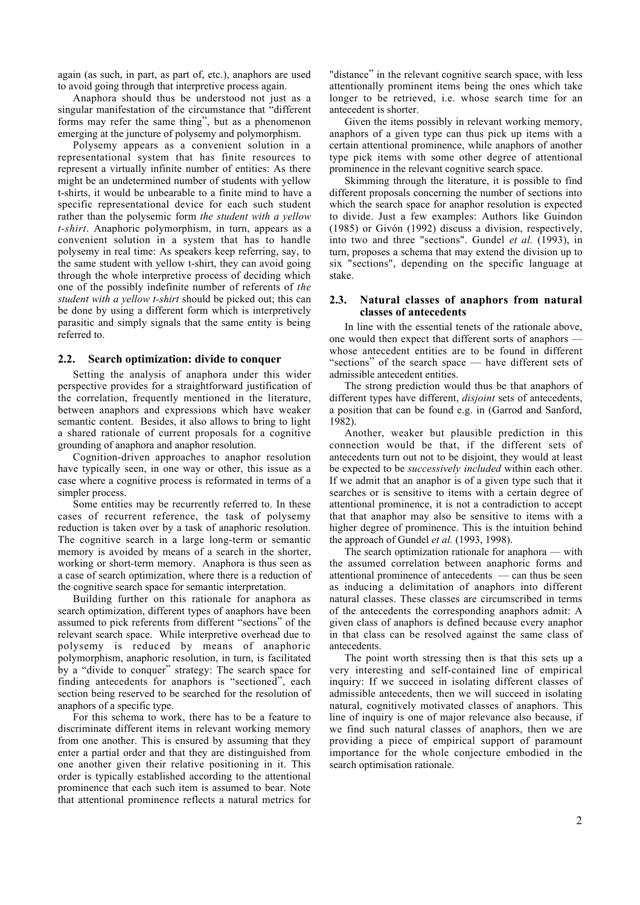again (as such, in part, as part of, etc.), anaphors are used to avoid going through that interpretive process again.

Anaphora should thus be understood not just as a singular manifestation of the circumstance that "different forms may refer the same thing", but as a phenomenon emerging at the juncture of polysemy and polymorphism.

Polysemy appears as a convenient solution in a representational system that has finite resources to represent a virtually infinite number of entities: As there might be an undetermined number of students with yellow t-shirts, it would be unbearable to a finite mind to have a specific representational device for each such student rather than the polysemic form *the student with a yellow t-shirt*. Anaphoric polymorphism, in turn, appears as a convenient solution in a system that has to handle polysemy in real time: As speakers keep referring, say, to the same student with yellow t-shirt, they can avoid going through the whole interpretive process of deciding which one of the possibly indefinite number of referents of *the student with a yellow t-shirt* should be picked out; this can be done by using a different form which is interpretively parasitic and simply signals that the same entity is being referred to.

# **2.2. Search optimization: divide to conquer**

Setting the analysis of anaphora under this wider perspective provides for a straightforward justification of the correlation, frequently mentioned in the literature, between anaphors and expressions which have weaker semantic content. Besides, it also allows to bring to light a shared rationale of current proposals for a cognitive grounding of anaphora and anaphor resolution.

Cognition-driven approaches to anaphor resolution have typically seen, in one way or other, this issue as a case where a cognitive process is reformated in terms of a simpler process.

Some entities may be recurrently referred to. In these cases of recurrent reference, the task of polysemy reduction is taken over by a task of anaphoric resolution. The cognitive search in a large long-term or semantic memory is avoided by means of a search in the shorter, working or short-term memory. Anaphora is thus seen as a case of search optimization, where there is a reduction of the cognitive search space for semantic interpretation.

Building further on this rationale for anaphora as search optimization, different types of anaphors have been assumed to pick referents from different "sections" of the relevant search space. While interpretive overhead due to polysemy is reduced by means of anaphoric polymorphism, anaphoric resolution, in turn, is facilitated by a "divide to conquer" strategy: The search space for finding antecedents for anaphors is "sectioned", each section being reserved to be searched for the resolution of anaphors of a specific type.

For this schema to work, there has to be a feature to discriminate different items in relevant working memory from one another. This is ensured by assuming that they enter a partial order and that they are distinguished from one another given their relative positioning in it. This order is typically established according to the attentional prominence that each such item is assumed to bear. Note that attentional prominence reflects a natural metrics for "distance" in the relevant cognitive search space, with less attentionally prominent items being the ones which take longer to be retrieved, i.e. whose search time for an antecedent is shorter.

Given the items possibly in relevant working memory, anaphors of a given type can thus pick up items with a certain attentional prominence, while anaphors of another type pick items with some other degree of attentional prominence in the relevant cognitive search space.

Skimming through the literature, it is possible to find different proposals concerning the number of sections into which the search space for anaphor resolution is expected to divide. Just a few examples: Authors like Guindon (1985) or Givón (1992) discuss a division, respectively, into two and three "sections". Gundel *et al.* (1993), in turn, proposes a schema that may extend the division up to six "sections", depending on the specific language at stake.

### **2.3. Natural classes of anaphors from natural classes of antecedents**

In line with the essential tenets of the rationale above, one would then expect that different sorts of anaphors whose antecedent entities are to be found in different "sections" of the search space — have different sets of admissible antecedent entities.

The strong prediction would thus be that anaphors of different types have different, *disjoint* sets of antecedents, a position that can be found e.g. in (Garrod and Sanford, 1982).

Another, weaker but plausible prediction in this connection would be that, if the different sets of antecedents turn out not to be disjoint, they would at least be expected to be *successively included* within each other. If we admit that an anaphor is of a given type such that it searches or is sensitive to items with a certain degree of attentional prominence, it is not a contradiction to accept that that anaphor may also be sensitive to items with a higher degree of prominence. This is the intuition behind the approach of Gundel *et al.* (1993, 1998).

The search optimization rationale for anaphora — with the assumed correlation between anaphoric forms and attentional prominence of antecedents — can thus be seen as inducing a delimitation of anaphors into different natural classes. These classes are circumscribed in terms of the antecedents the corresponding anaphors admit: A given class of anaphors is defined because every anaphor in that class can be resolved against the same class of antecedents.

The point worth stressing then is that this sets up a very interesting and self-contained line of empirical inquiry: If we succeed in isolating different classes of admissible antecedents, then we will succeed in isolating natural, cognitively motivated classes of anaphors. This line of inquiry is one of major relevance also because, if we find such natural classes of anaphors, then we are providing a piece of empirical support of paramount importance for the whole conjecture embodied in the search optimisation rationale.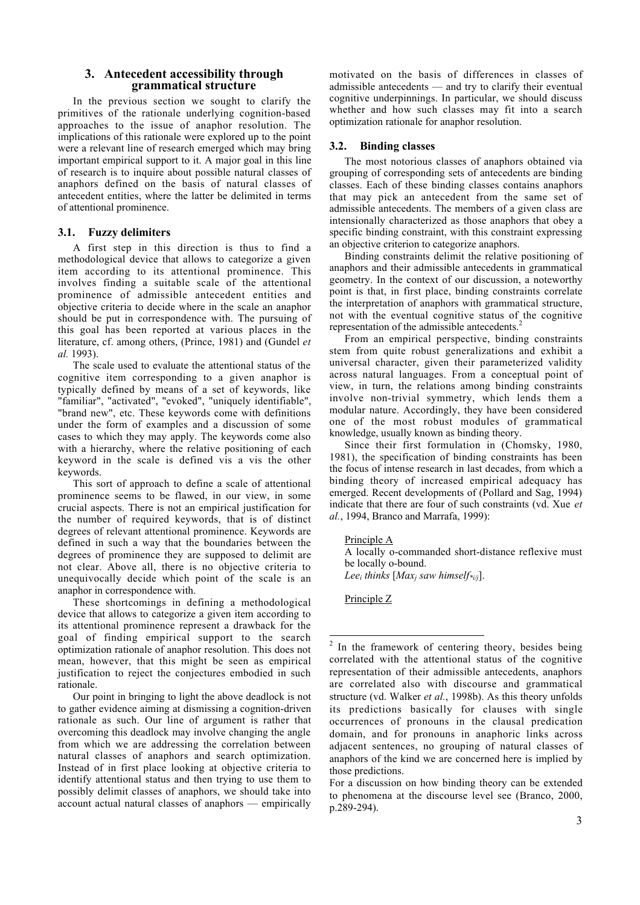### **3. Antecedent accessibility through grammatical structure**

In the previous section we sought to clarify the primitives of the rationale underlying cognition-based approaches to the issue of anaphor resolution. The implications of this rationale were explored up to the point were a relevant line of research emerged which may bring important empirical support to it. A major goal in this line of research is to inquire about possible natural classes of anaphors defined on the basis of natural classes of antecedent entities, where the latter be delimited in terms of attentional prominence.

# **3.1. Fuzzy delimiters**

A first step in this direction is thus to find a methodological device that allows to categorize a given item according to its attentional prominence. This involves finding a suitable scale of the attentional prominence of admissible antecedent entities and objective criteria to decide where in the scale an anaphor should be put in correspondence with. The pursuing of this goal has been reported at various places in the literature, cf. among others, (Prince, 1981) and (Gundel *et al.* 1993).

The scale used to evaluate the attentional status of the cognitive item corresponding to a given anaphor is typically defined by means of a set of keywords, like "familiar", "activated", "evoked", "uniquely identifiable", "brand new", etc. These keywords come with definitions under the form of examples and a discussion of some cases to which they may apply. The keywords come also with a hierarchy, where the relative positioning of each keyword in the scale is defined vis a vis the other keywords.

This sort of approach to define a scale of attentional prominence seems to be flawed, in our view, in some crucial aspects. There is not an empirical justification for the number of required keywords, that is of distinct degrees of relevant attentional prominence. Keywords are defined in such a way that the boundaries between the degrees of prominence they are supposed to delimit are not clear. Above all, there is no objective criteria to unequivocally decide which point of the scale is an anaphor in correspondence with.

These shortcomings in defining a methodological device that allows to categorize a given item according to its attentional prominence represent a drawback for the goal of finding empirical support to the search optimization rationale of anaphor resolution. This does not mean, however, that this might be seen as empirical justification to reject the conjectures embodied in such rationale.

Our point in bringing to light the above deadlock is not to gather evidence aiming at dismissing a cognition-driven rationale as such. Our line of argument is rather that overcoming this deadlock may involve changing the angle from which we are addressing the correlation between natural classes of anaphors and search optimization. Instead of in first place looking at objective criteria to identify attentional status and then trying to use them to possibly delimit classes of anaphors, we should take into account actual natural classes of anaphors — empirically motivated on the basis of differences in classes of admissible antecedents — and try to clarify their eventual cognitive underpinnings. In particular, we should discuss whether and how such classes may fit into a search optimization rationale for anaphor resolution.

#### **3.2. Binding classes**

The most notorious classes of anaphors obtained via grouping of corresponding sets of antecedents are binding classes. Each of these binding classes contains anaphors that may pick an antecedent from the same set of admissible antecedents. The members of a given class are intensionally characterized as those anaphors that obey a specific binding constraint, with this constraint expressing an objective criterion to categorize anaphors.

Binding constraints delimit the relative positioning of anaphors and their admissible antecedents in grammatical geometry. In the context of our discussion, a noteworthy point is that, in first place, binding constraints correlate the interpretation of anaphors with grammatical structure, not with the eventual cognitive status of the cognitive representation of the admissible antecedents.2

From an empirical perspective, binding constraints stem from quite robust generalizations and exhibit a universal character, given their parameterized validity across natural languages. From a conceptual point of view, in turn, the relations among binding constraints involve non-trivial symmetry, which lends them a modular nature. Accordingly, they have been considered one of the most robust modules of grammatical knowledge, usually known as binding theory.

Since their first formulation in (Chomsky, 1980, 1981), the specification of binding constraints has been the focus of intense research in last decades, from which a binding theory of increased empirical adequacy has emerged. Recent developments of (Pollard and Sag, 1994) indicate that there are four of such constraints (vd. Xue *et al.*, 1994, Branco and Marrafa, 1999):

#### Principle A

A locally o-commanded short-distance reflexive must be locally o-bound. *Leei thinks* [*Maxj saw himself\*i/j*].

Principle Z

-

<sup>&</sup>lt;sup>2</sup> In the framework of centering theory, besides being correlated with the attentional status of the cognitive representation of their admissible antecedents, anaphors are correlated also with discourse and grammatical structure (vd. Walker *et al.*, 1998b). As this theory unfolds its predictions basically for clauses with single occurrences of pronouns in the clausal predication domain, and for pronouns in anaphoric links across adjacent sentences, no grouping of natural classes of anaphors of the kind we are concerned here is implied by those predictions.

For a discussion on how binding theory can be extended to phenomena at the discourse level see (Branco, 2000, p.289-294).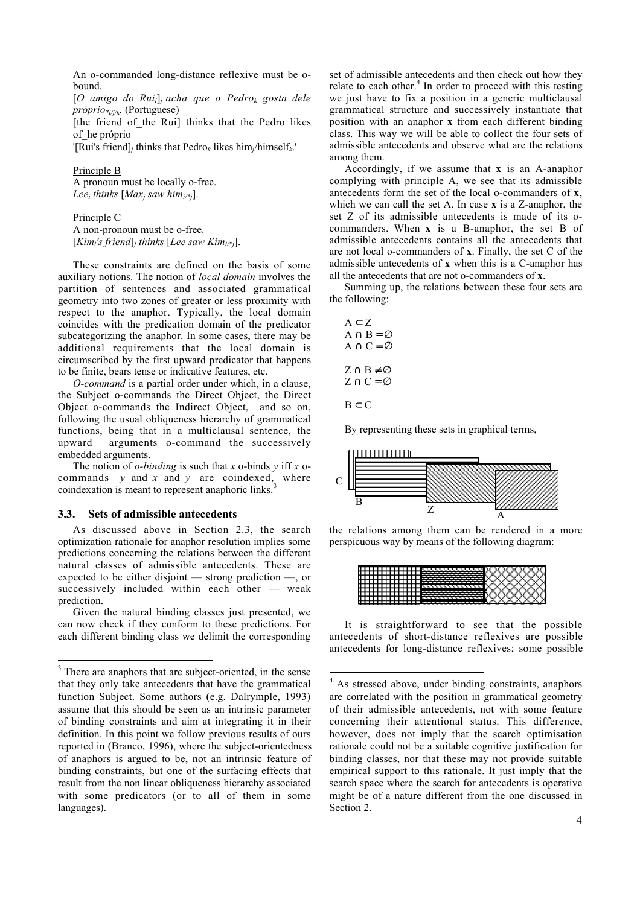An o-commanded long-distance reflexive must be obound.

[*O amigo do Ruii*]*<sup>j</sup> acha que o Pedrok gosta dele próprio\*i/j/k.* (Portuguese)

[the friend of the Rui] thinks that the Pedro likes of\_he próprio

'[Rui's friend]*j* thinks that Pedro*k* likes him*j*/himself*k*.'

#### Principle B

A pronoun must be locally o-free. *Lee<sub>i</sub>* thinks  $[Max_i saw him_{i\prime\prime}].$ 

Principle C

A non-pronoun must be o-free. [*Kimi's friend*]*<sup>j</sup> thinks* [*Lee saw Kimi/\*j*].

These constraints are defined on the basis of some auxiliary notions. The notion of *local domain* involves the partition of sentences and associated grammatical geometry into two zones of greater or less proximity with respect to the anaphor. Typically, the local domain coincides with the predication domain of the predicator subcategorizing the anaphor. In some cases, there may be additional requirements that the local domain is circumscribed by the first upward predicator that happens to be finite, bears tense or indicative features, etc.

*O-command* is a partial order under which, in a clause, the Subject o-commands the Direct Object, the Direct Object o-commands the Indirect Object, and so on, following the usual obliqueness hierarchy of grammatical functions, being that in a multiclausal sentence, the upward arguments o-command the successively embedded arguments.

The notion of *o-binding* is such that *x* o-binds *y* iff *x* ocommands *y* and *x* and *y* are coindexed, where coindexation is meant to represent anaphoric links.<sup>3</sup>

#### **3.3. Sets of admissible antecedents**

As discussed above in Section 2.3, the search optimization rationale for anaphor resolution implies some predictions concerning the relations between the different natural classes of admissible antecedents. These are expected to be either disjoint — strong prediction —, or successively included within each other — weak prediction.

Given the natural binding classes just presented, we can now check if they conform to these predictions. For each different binding class we delimit the corresponding set of admissible antecedents and then check out how they relate to each other.<sup>4</sup> In order to proceed with this testing we just have to fix a position in a generic multiclausal grammatical structure and successively instantiate that position with an anaphor **x** from each different binding class. This way we will be able to collect the four sets of admissible antecedents and observe what are the relations among them.

Accordingly, if we assume that **x** is an A-anaphor complying with principle A, we see that its admissible antecedents form the set of the local o-commanders of **x**, which we can call the set A. In case **x** is a Z-anaphor, the set Z of its admissible antecedents is made of its ocommanders. When **x** is a B-anaphor, the set B of admissible antecedents contains all the antecedents that are not local o-commanders of **x**. Finally, the set C of the admissible antecedents of **x** when this is a C-anaphor has all the antecedents that are not o-commanders of **x**.

Summing up, the relations between these four sets are the following:

$$
A \subset Z
$$
  
\n
$$
A \cap B = \varnothing
$$
  
\n
$$
A \cap C = \varnothing
$$
  
\n
$$
Z \cap B \neq \varnothing
$$
  
\n
$$
Z \cap C = \varnothing
$$
  
\n
$$
B \subset C
$$

By representing these sets in graphical terms,



the relations among them can be rendered in a more perspicuous way by means of the following diagram:



It is straightforward to see that the possible antecedents of short-distance reflexives are possible antecedents for long-distance reflexives; some possible

<sup>&</sup>lt;sup>3</sup> There are anaphors that are subject-oriented, in the sense that they only take antecedents that have the grammatical function Subject. Some authors (e.g. Dalrymple, 1993) assume that this should be seen as an intrinsic parameter of binding constraints and aim at integrating it in their definition. In this point we follow previous results of ours reported in (Branco, 1996), where the subject-orientedness of anaphors is argued to be, not an intrinsic feature of binding constraints, but one of the surfacing effects that result from the non linear obliqueness hierarchy associated with some predicators (or to all of them in some languages).

 4 As stressed above, under binding constraints, anaphors are correlated with the position in grammatical geometry of their admissible antecedents, not with some feature concerning their attentional status. This difference, however, does not imply that the search optimisation rationale could not be a suitable cognitive justification for binding classes, nor that these may not provide suitable empirical support to this rationale. It just imply that the search space where the search for antecedents is operative might be of a nature different from the one discussed in Section 2.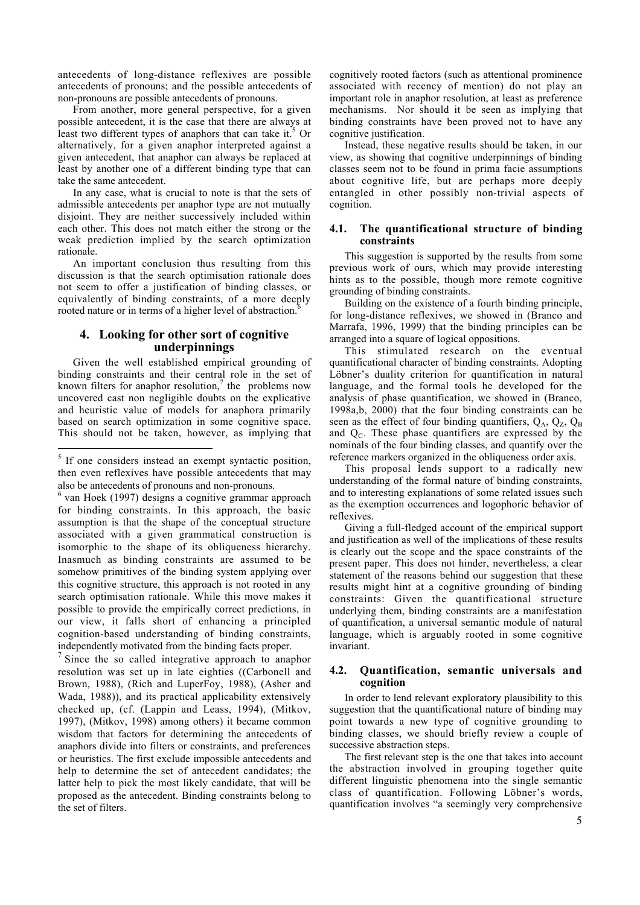antecedents of long-distance reflexives are possible antecedents of pronouns; and the possible antecedents of non-pronouns are possible antecedents of pronouns.

From another, more general perspective, for a given possible antecedent, it is the case that there are always at least two different types of anaphors that can take it.<sup>5</sup> Or alternatively, for a given anaphor interpreted against a given antecedent, that anaphor can always be replaced at least by another one of a different binding type that can take the same antecedent.

In any case, what is crucial to note is that the sets of admissible antecedents per anaphor type are not mutually disjoint. They are neither successively included within each other. This does not match either the strong or the weak prediction implied by the search optimization rationale.

An important conclusion thus resulting from this discussion is that the search optimisation rationale does not seem to offer a justification of binding classes, or equivalently of binding constraints, of a more deeply rooted nature or in terms of a higher level of abstraction.6

# **4. Looking for other sort of cognitive underpinnings**

Given the well established empirical grounding of binding constraints and their central role in the set of known filters for anaphor resolution,<sup>7</sup> the problems now uncovered cast non negligible doubts on the explicative and heuristic value of models for anaphora primarily based on search optimization in some cognitive space. This should not be taken, however, as implying that

1

cognitively rooted factors (such as attentional prominence associated with recency of mention) do not play an important role in anaphor resolution, at least as preference mechanisms. Nor should it be seen as implying that binding constraints have been proved not to have any cognitive justification.

Instead, these negative results should be taken, in our view, as showing that cognitive underpinnings of binding classes seem not to be found in prima facie assumptions about cognitive life, but are perhaps more deeply entangled in other possibly non-trivial aspects of cognition.

# **4.1. The quantificational structure of binding constraints**

This suggestion is supported by the results from some previous work of ours, which may provide interesting hints as to the possible, though more remote cognitive grounding of binding constraints.

Building on the existence of a fourth binding principle, for long-distance reflexives, we showed in (Branco and Marrafa, 1996, 1999) that the binding principles can be arranged into a square of logical oppositions.

This stimulated research on the eventual quantificational character of binding constraints. Adopting Löbner's duality criterion for quantification in natural language, and the formal tools he developed for the analysis of phase quantification, we showed in (Branco, 1998a,b, 2000) that the four binding constraints can be seen as the effect of four binding quantifiers,  $Q_A$ ,  $Q_Z$ ,  $Q_B$ and  $Q<sub>C</sub>$ . These phase quantifiers are expressed by the nominals of the four binding classes, and quantify over the reference markers organized in the obliqueness order axis.

This proposal lends support to a radically new understanding of the formal nature of binding constraints, and to interesting explanations of some related issues such as the exemption occurrences and logophoric behavior of reflexives.

Giving a full-fledged account of the empirical support and justification as well of the implications of these results is clearly out the scope and the space constraints of the present paper. This does not hinder, nevertheless, a clear statement of the reasons behind our suggestion that these results might hint at a cognitive grounding of binding constraints: Given the quantificational structure underlying them, binding constraints are a manifestation of quantification, a universal semantic module of natural language, which is arguably rooted in some cognitive invariant.

# **4.2. Quantification, semantic universals and cognition**

In order to lend relevant exploratory plausibility to this suggestion that the quantificational nature of binding may point towards a new type of cognitive grounding to binding classes, we should briefly review a couple of successive abstraction steps.

The first relevant step is the one that takes into account the abstraction involved in grouping together quite different linguistic phenomena into the single semantic class of quantification. Following Löbner's words, quantification involves "a seemingly very comprehensive

<sup>&</sup>lt;sup>5</sup> If one considers instead an exempt syntactic position, then even reflexives have possible antecedents that may also be antecedents of pronouns and non-pronouns.

<sup>&</sup>lt;sup>6</sup> van Hoek (1997) designs a cognitive grammar approach for binding constraints. In this approach, the basic assumption is that the shape of the conceptual structure associated with a given grammatical construction is isomorphic to the shape of its obliqueness hierarchy. Inasmuch as binding constraints are assumed to be somehow primitives of the binding system applying over this cognitive structure, this approach is not rooted in any search optimisation rationale. While this move makes it possible to provide the empirically correct predictions, in our view, it falls short of enhancing a principled cognition-based understanding of binding constraints, independently motivated from the binding facts proper.

 $\frac{7}{1}$  Since the so called integrative approach to anaphor resolution was set up in late eighties ((Carbonell and Brown, 1988), (Rich and LuperFoy, 1988), (Asher and Wada, 1988)), and its practical applicability extensively checked up, (cf. (Lappin and Leass, 1994), (Mitkov, 1997), (Mitkov, 1998) among others) it became common wisdom that factors for determining the antecedents of anaphors divide into filters or constraints, and preferences or heuristics. The first exclude impossible antecedents and help to determine the set of antecedent candidates; the latter help to pick the most likely candidate, that will be proposed as the antecedent. Binding constraints belong to the set of filters.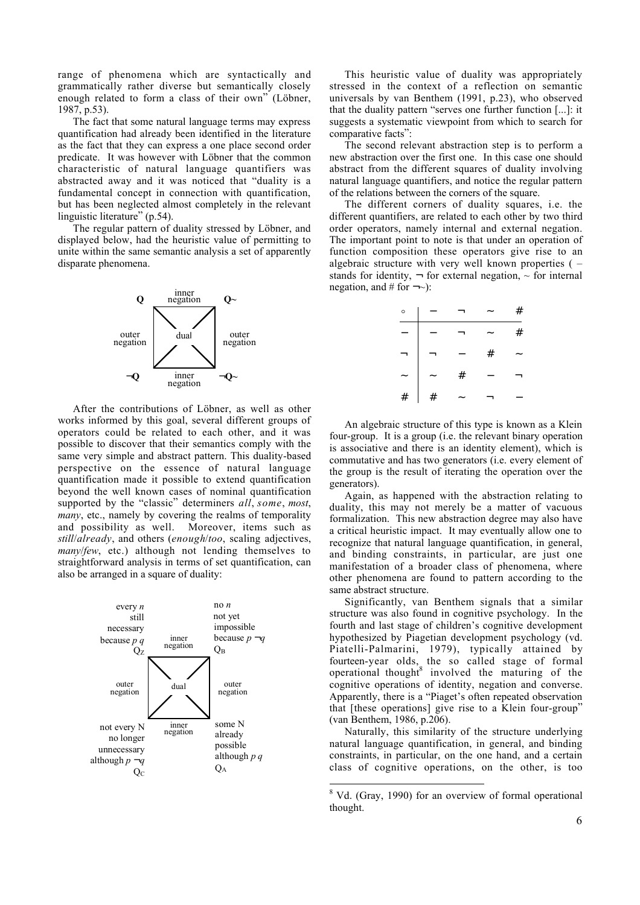range of phenomena which are syntactically and grammatically rather diverse but semantically closely enough related to form a class of their own" (Löbner, 1987, p.53).

The fact that some natural language terms may express quantification had already been identified in the literature as the fact that they can express a one place second order predicate. It was however with Löbner that the common characteristic of natural language quantifiers was abstracted away and it was noticed that "duality is a fundamental concept in connection with quantification, but has been neglected almost completely in the relevant linguistic literature" (p.54).

The regular pattern of duality stressed by Löbner, and displayed below, had the heuristic value of permitting to unite within the same semantic analysis a set of apparently disparate phenomena.



After the contributions of Löbner, as well as other works informed by this goal, several different groups of operators could be related to each other, and it was possible to discover that their semantics comply with the same very simple and abstract pattern. This duality-based perspective on the essence of natural language quantification made it possible to extend quantification beyond the well known cases of nominal quantification supported by the "classic" determiners *all*, *some*, *most*, *many*, etc., namely by covering the realms of temporality and possibility as well. Moreover, items such as *still*/*already*, and others (*enough*/*too*, scaling adjectives, *many*/*few*, etc.) although not lending themselves to straightforward analysis in terms of set quantification, can also be arranged in a square of duality:



This heuristic value of duality was appropriately stressed in the context of a reflection on semantic universals by van Benthem (1991, p.23), who observed that the duality pattern "serves one further function [...]: it suggests a systematic viewpoint from which to search for comparative facts":

The second relevant abstraction step is to perform a new abstraction over the first one. In this case one should abstract from the different squares of duality involving natural language quantifiers, and notice the regular pattern of the relations between the corners of the square.

The different corners of duality squares, i.e. the different quantifiers, are related to each other by two third order operators, namely internal and external negation. The important point to note is that under an operation of function composition these operators give rise to an algebraic structure with very well known properties ( – stands for identity,  $\neg$  for external negation,  $\neg$  for internal negation, and # for  $\neg$  $\sim$ ):

| $\circ$ |   |   |      | # |
|---------|---|---|------|---|
|         |   |   |      | # |
|         |   |   | $\#$ |   |
|         |   | # |      |   |
| #       | # |   |      |   |

An algebraic structure of this type is known as a Klein four-group. It is a group (i.e. the relevant binary operation is associative and there is an identity element), which is commutative and has two generators (i.e. every element of the group is the result of iterating the operation over the generators).

Again, as happened with the abstraction relating to duality, this may not merely be a matter of vacuous formalization. This new abstraction degree may also have a critical heuristic impact. It may eventually allow one to recognize that natural language quantification, in general, and binding constraints, in particular, are just one manifestation of a broader class of phenomena, where other phenomena are found to pattern according to the same abstract structure.

Significantly, van Benthem signals that a similar structure was also found in cognitive psychology. In the fourth and last stage of children's cognitive development hypothesized by Piagetian development psychology (vd. Piatelli-Palmarini, 1979), typically attained by fourteen-year olds, the so called stage of formal operational thought<sup>8</sup> involved the maturing of the cognitive operations of identity, negation and converse. Apparently, there is a "Piaget's often repeated observation that [these operations] give rise to a Klein four-group" (van Benthem, 1986, p.206).

Naturally, this similarity of the structure underlying natural language quantification, in general, and binding constraints, in particular, on the one hand, and a certain class of cognitive operations, on the other, is too

 8 Vd. (Gray, 1990) for an overview of formal operational thought.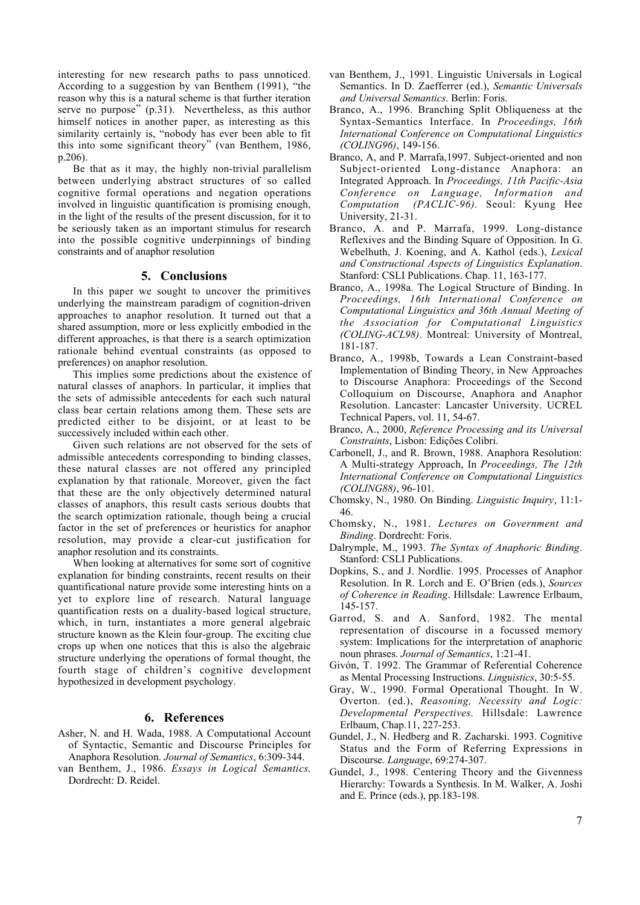interesting for new research paths to pass unnoticed. According to a suggestion by van Benthem (1991), "the reason why this is a natural scheme is that further iteration serve no purpose" (p.31). Nevertheless, as this author himself notices in another paper, as interesting as this similarity certainly is, "nobody has ever been able to fit this into some significant theory" (van Benthem, 1986, p.206).

Be that as it may, the highly non-trivial parallelism between underlying abstract structures of so called cognitive formal operations and negation operations involved in linguistic quantification is promising enough, in the light of the results of the present discussion, for it to be seriously taken as an important stimulus for research into the possible cognitive underpinnings of binding constraints and of anaphor resolution

# **5. Conclusions**

In this paper we sought to uncover the primitives underlying the mainstream paradigm of cognition-driven approaches to anaphor resolution. It turned out that a shared assumption, more or less explicitly embodied in the different approaches, is that there is a search optimization rationale behind eventual constraints (as opposed to preferences) on anaphor resolution.

This implies some predictions about the existence of natural classes of anaphors. In particular, it implies that the sets of admissible antecedents for each such natural class bear certain relations among them. These sets are predicted either to be disjoint, or at least to be successively included within each other.

Given such relations are not observed for the sets of admissible antecedents corresponding to binding classes, these natural classes are not offered any principled explanation by that rationale. Moreover, given the fact that these are the only objectively determined natural classes of anaphors, this result casts serious doubts that the search optimization rationale, though being a crucial factor in the set of preferences or heuristics for anaphor resolution, may provide a clear-cut justification for anaphor resolution and its constraints.

When looking at alternatives for some sort of cognitive explanation for binding constraints, recent results on their quantificational nature provide some interesting hints on a yet to explore line of research. Natural language quantification rests on a duality-based logical structure, which, in turn, instantiates a more general algebraic structure known as the Klein four-group. The exciting clue crops up when one notices that this is also the algebraic structure underlying the operations of formal thought, the fourth stage of children's cognitive development hypothesized in development psychology.

# **6. References**

- Asher, N. and H. Wada, 1988. A Computational Account of Syntactic, Semantic and Discourse Principles for Anaphora Resolution. *Journal of Semantics*, 6:309-344.
- van Benthem, J., 1986. *Essays in Logical Semantics*. Dordrecht: D. Reidel.
- van Benthem, J., 1991. Linguistic Universals in Logical Semantics. In D. Zaefferrer (ed.), *Semantic Universals and Universal Semantics*. Berlin: Foris.
- Branco, A., 1996. Branching Split Obliqueness at the Syntax-Semantics Interface. In *Proceedings, 16th International Conference on Computational Linguistics (COLING96)*, 149-156.
- Branco, A, and P. Marrafa,1997. Subject-oriented and non Subject-oriented Long-distance Anaphora: an Integrated Approach. In *Proceedings, 11th Pacific-Asia Conference on Language, Information and Computation (PACLIC-96)*. Seoul: Kyung Hee University, 21-31.
- Branco, A. and P. Marrafa, 1999. Long-distance Reflexives and the Binding Square of Opposition. In G. Webelhuth, J. Koening, and A. Kathol (eds.), *Lexical and Constructional Aspects of Linguistics Explanation*. Stanford: CSLI Publications. Chap. 11, 163-177.
- Branco, A., 1998a. The Logical Structure of Binding. In *Proceedings, 16th International Conference on Computational Linguistics and 36th Annual Meeting of the Association for Computational Linguistics (COLING-ACL98)*. Montreal: University of Montreal, 181-187.
- Branco, A., 1998b, Towards a Lean Constraint-based Implementation of Binding Theory, in New Approaches to Discourse Anaphora: Proceedings of the Second Colloquium on Discourse, Anaphora and Anaphor Resolution. Lancaster: Lancaster University. UCREL Technical Papers, vol. 11, 54-67.
- Branco, A., 2000, *Reference Processing and its Universal Constraints*, Lisbon: Edições Colibri.
- Carbonell, J., and R. Brown, 1988. Anaphora Resolution: A Multi-strategy Approach, In *Proceedings, The 12th International Conference on Computational Linguistics (COLING88)*, 96-101.
- Chomsky, N., 1980. On Binding. *Linguistic Inquiry*, 11:1- 46.
- Chomsky, N., 1981. *Lectures on Government and Binding*. Dordrecht: Foris.
- Dalrymple, M., 1993. *The Syntax of Anaphoric Binding*. Stanford: CSLI Publications.
- Dopkins, S., and J. Nordlie. 1995. Processes of Anaphor Resolution. In R. Lorch and E. O'Brien (eds.), *Sources of Coherence in Reading*. Hillsdale: Lawrence Erlbaum, 145-157.
- Garrod, S. and A. Sanford, 1982. The mental representation of discourse in a focussed memory system: Implications for the interpretation of anaphoric noun phrases. *Journal of Semantics*, 1:21-41.
- Givón, T. 1992. The Grammar of Referential Coherence as Mental Processing Instructions. *Linguistics*, 30:5-55.
- Gray, W., 1990. Formal Operational Thought. In W. Overton. (ed.), *Reasoning, Necessity and Logic: Developmental Perspectives*. Hillsdale: Lawrence Erlbaum, Chap.11, 227-253.
- Gundel, J., N. Hedberg and R. Zacharski. 1993. Cognitive Status and the Form of Referring Expressions in Discourse. *Language*, 69:274-307.
- Gundel, J., 1998. Centering Theory and the Givenness Hierarchy: Towards a Synthesis. In M. Walker, A. Joshi and E. Prince (eds.), pp.183-198.